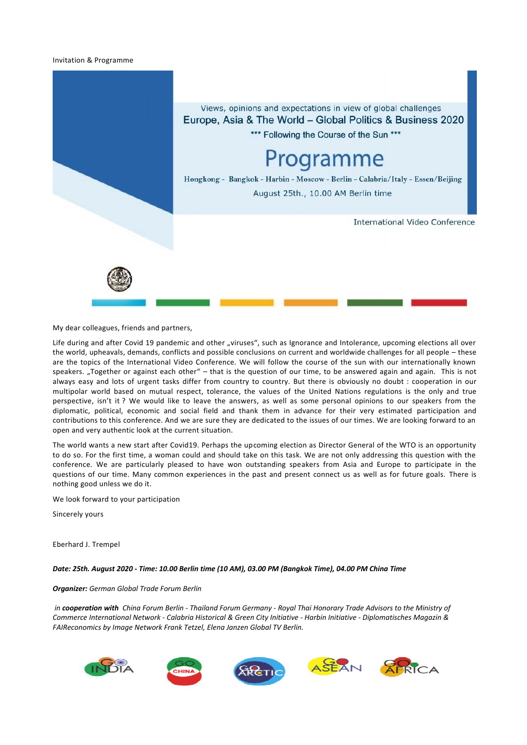### Invitation & Programme



My dear colleagues, friends and partners,

Life during and after Covid 19 pandemic and other "viruses", such as Ignorance and Intolerance, upcoming elections all over the world, upheavals, demands, conflicts and possible conclusions on current and worldwide challenges for all people – these are the topics of the International Video Conference. We will follow the course of the sun with our internationally known speakers. "Together or against each other" – that is the question of our time, to be answered again and again. This is not always easy and lots of urgent tasks differ from country to country. But there is obviously no doubt : cooperation in our multipolar world based on mutual respect, tolerance, the values of the United Nations regulations is the only and true perspective, isn't it ? We would like to leave the answers, as well as some personal opinions to our speakers from the diplomatic, political, economic and social field and thank them in advance for their very estimated participation and contributions to this conference. And we are sure they are dedicated to the issues of our times. We are looking forward to an open and very authentic look at the current situation.

The world wants a new start after Covid19. Perhaps the upcoming election as Director General of the WTO is an opportunity to do so. For the first time, a woman could and should take on this task. We are not only addressing this question with the conference. We are particularly pleased to have won outstanding speakers from Asia and Europe to participate in the questions of our time. Many common experiences in the past and present connect us as well as for future goals. There is nothing good unless we do it.

We look forward to your participation

Sincerely yours

Eberhard J. Trempel

### *Date: 25th. August 2020 - Time: 10.00 Berlin time (10 AM), 03.00 PM (Bangkok Time), 04.00 PM China Time*

### *Organizer: German Global Trade Forum Berlin*

*in cooperation with China Forum Berlin - Thailand Forum Germany - Royal Thai Honorary Trade Advisors to the Ministry of Commerce International Network - Calabria Historical & Green City Initiative - Harbin Initiative - Diplomatisches Magazin & FAIReconomics by Image Network Frank Tetzel, Elena Janzen Global TV Berlin.*

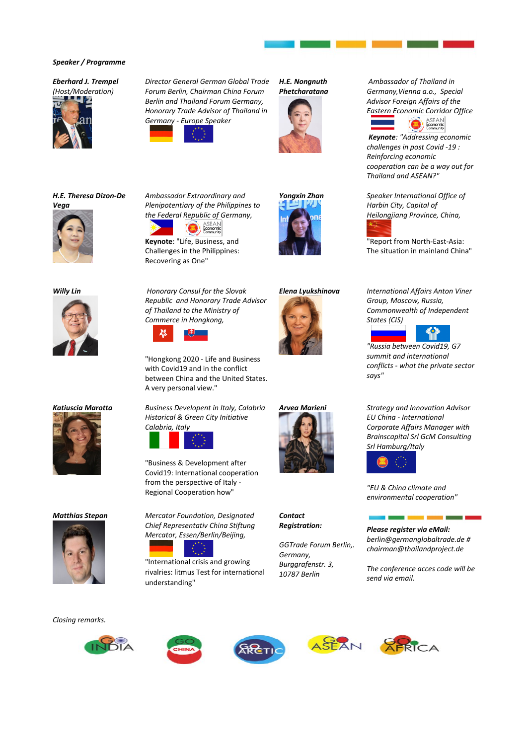### *Speaker / Programme*

## *Eberhard J. Trempel*

*(Host/Moderation)*

*H.E. Theresa Dizon-De* 



*Director General German Global Trade Forum Berlin, Chairman China Forum Berlin and Thailand Forum Germany, Honorary Trade Advisor of Thailand in Germany - Europe Speaker*



*Ambassador Extraordinary and Plenipotentiary of the Philippines to the Federal Republic of Germany,*

**Keynote**: "Life, Business, and





 *Ambassador of Thailand in Germany,Vienna a.o., Special Advisor Foreign Affairs of the Eastern Economic Corridor Office*



*Keynote: "Addressing economic challenges in post Covid -19 : Reinforcing economic cooperation can be a way out for Thailand and ASEAN?"*

*Yongxin Zhan Speaker International Office of Harbin City, Capital of Heilongjiang Province, China,* 

> "Report from North-East-Asia: The situation in mainland China"





*Vega* 







Challenges in the Philippines: Recovering as One" *Willy Lin Honorary Consul for the Slovak* 

**B** Economic

*Republic and Honorary Trade Advisor of Thailand to the Ministry of Commerce in Hongkong,* 



"Hongkong 2020 - Life and Business with Covid19 and in the conflict between China and the United States. A very personal view."

*Katiuscia Marotta Business Developent in Italy, Calabria Historical & Green City Initiative Calabria, Italy*



"Business & Development after Covid19: International cooperation from the perspective of Italy - Regional Cooperation how"

*Matthias Stepan Mercator Foundation, Designated Chief Representativ China Stiftung Mercator, Essen/Berlin/Beijing,* 

"International crisis and growing rivalries: litmus Test for international understanding"





*Contact Registration:*

*GGTrade Forum Berlin,. Germany, Burggrafenstr. 3, 10787 Berlin*

*Elena Lyukshinova International Affairs Anton Viner Group, Moscow, Russia, Commonwealth of Independent States (CIS)* 



*"Russia between Covid19, G7 summit and international conflicts - what the private sector says"* 

*Arvea Marieni Strategy and Innovation Advisor EU China - International Corporate Affairs Manager with Brainscapital Srl GcM Consulting Srl Hamburg/Italy*



*"EU & China climate and environmental cooperation"*

*Please register via eMail:*

a p

*berlin@germanglobaltrade.de # chairman@thailandproject.de*

×.

*The conference acces code will be send via email.*

*Closing remarks.*